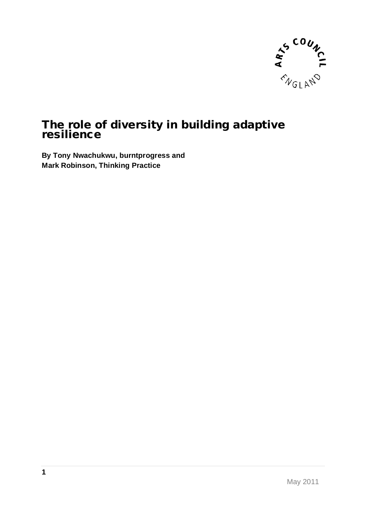

# The role of diversity in building adaptive resilience

**By Tony Nwachukwu, burntprogress and Mark Robinson, Thinking Practice**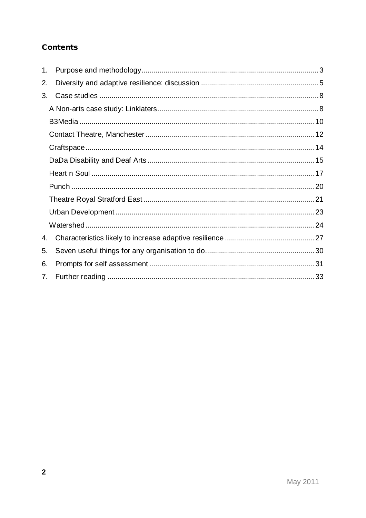# **Contents**

| 1 <sub>1</sub> |  |
|----------------|--|
| 2.             |  |
| 3.             |  |
|                |  |
|                |  |
|                |  |
|                |  |
|                |  |
|                |  |
|                |  |
|                |  |
|                |  |
|                |  |
| 4.             |  |
| 5.             |  |
| 6.             |  |
| 7.             |  |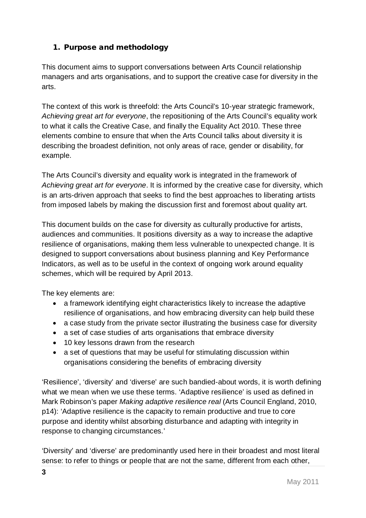# <span id="page-2-0"></span>1. Purpose and methodology

This document aims to support conversations between Arts Council relationship managers and arts organisations, and to support the creative case for diversity in the arts.

The context of this work is threefold: the Arts Council's 10-year strategic framework, *Achieving great art for everyone*, the repositioning of the Arts Council's equality work to what it calls the Creative Case, and finally the Equality Act 2010. These three elements combine to ensure that when the Arts Council talks about diversity it is describing the broadest definition, not only areas of race, gender or disability, for example.

The Arts Council's diversity and equality work is integrated in the framework of *Achieving great art for everyone*. It is informed by the creative case for diversity, which is an arts-driven approach that seeks to find the best approaches to liberating artists from imposed labels by making the discussion first and foremost about quality art.

This document builds on the case for diversity as culturally productive for artists, audiences and communities. It positions diversity as a way to increase the adaptive resilience of organisations, making them less vulnerable to unexpected change. It is designed to support conversations about business planning and Key Performance Indicators, as well as to be useful in the context of ongoing work around equality schemes, which will be required by April 2013.

The key elements are:

- a framework identifying eight characteristics likely to increase the adaptive resilience of organisations, and how embracing diversity can help build these
- a case study from the private sector illustrating the business case for diversity
- a set of case studies of arts organisations that embrace diversity
- 10 key lessons drawn from the research
- a set of questions that may be useful for stimulating discussion within organisations considering the benefits of embracing diversity

'Resilience', 'diversity' and 'diverse' are such bandied-about words, it is worth defining what we mean when we use these terms. 'Adaptive resilience' is used as defined in Mark Robinson's paper *Making adaptive resilience real* (Arts Council England, 2010, p14): 'Adaptive resilience is the capacity to remain productive and true to core purpose and identity whilst absorbing disturbance and adapting with integrity in response to changing circumstances.'

'Diversity' and 'diverse' are predominantly used here in their broadest and most literal sense: to refer to things or people that are not the same, different from each other,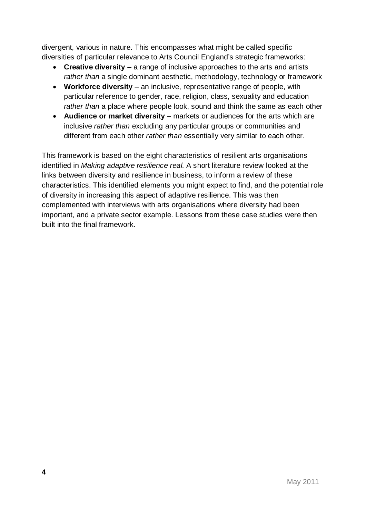divergent, various in nature. This encompasses what might be called specific diversities of particular relevance to Arts Council England's strategic frameworks:

- **Creative diversity** a range of inclusive approaches to the arts and artists *rather than* a single dominant aesthetic, methodology, technology or framework
- **Workforce diversity** an inclusive, representative range of people, with particular reference to gender, race, religion, class, sexuality and education *rather than* a place where people look, sound and think the same as each other
- **Audience or market diversity** markets or audiences for the arts which are inclusive *rather than* excluding any particular groups or communities and different from each other *rather than* essentially very similar to each other.

This framework is based on the eight characteristics of resilient arts organisations identified in *Making adaptive resilience real.* A short literature review looked at the links between diversity and resilience in business, to inform a review of these characteristics. This identified elements you might expect to find, and the potential role of diversity in increasing this aspect of adaptive resilience. This was then complemented with interviews with arts organisations where diversity had been important, and a private sector example. Lessons from these case studies were then built into the final framework.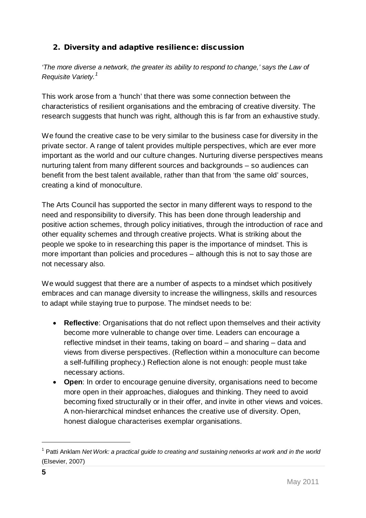# <span id="page-4-0"></span>2. Diversity and adaptive resilience: discussion

*'The more diverse a network, the greater its ability to respond to change,' says the Law of Requisite Variety.[1](#page-4-1)*

This work arose from a 'hunch' that there was some connection between the characteristics of resilient organisations and the embracing of creative diversity. The research suggests that hunch was right, although this is far from an exhaustive study.

We found the creative case to be very similar to the business case for diversity in the private sector. A range of talent provides multiple perspectives, which are ever more important as the world and our culture changes. Nurturing diverse perspectives means nurturing talent from many different sources and backgrounds – so audiences can benefit from the best talent available, rather than that from 'the same old' sources, creating a kind of monoculture.

The Arts Council has supported the sector in many different ways to respond to the need and responsibility to diversify. This has been done through leadership and positive action schemes, through policy initiatives, through the introduction of race and other equality schemes and through creative projects. What is striking about the people we spoke to in researching this paper is the importance of mindset. This is more important than policies and procedures – although this is not to say those are not necessary also.

We would suggest that there are a number of aspects to a mindset which positively embraces and can manage diversity to increase the willingness, skills and resources to adapt while staying true to purpose. The mindset needs to be:

- **Reflective**: Organisations that do not reflect upon themselves and their activity become more vulnerable to change over time. Leaders can encourage a reflective mindset in their teams, taking on board – and sharing – data and views from diverse perspectives. (Reflection within a monoculture can become a self-fulfilling prophecy.) Reflection alone is not enough: people must take necessary actions.
- **Open**: In order to encourage genuine diversity, organisations need to become more open in their approaches, dialogues and thinking. They need to avoid becoming fixed structurally or in their offer, and invite in other views and voices. A non-hierarchical mindset enhances the creative use of diversity. Open, honest dialogue characterises exemplar organisations.

<span id="page-4-1"></span> <sup>1</sup> Patti Anklam *Net Work: a practical guide to creating and sustaining networks at work and in the world* (Elsevier, 2007)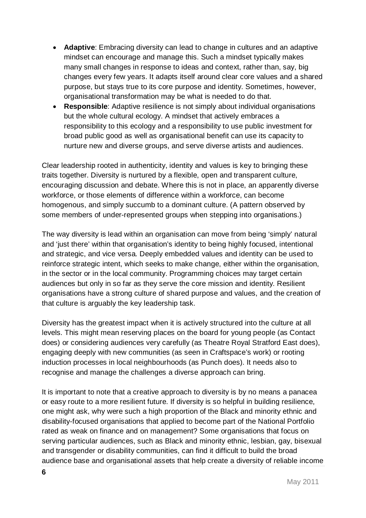- **Adaptive**: Embracing diversity can lead to change in cultures and an adaptive mindset can encourage and manage this. Such a mindset typically makes many small changes in response to ideas and context, rather than, say, big changes every few years. It adapts itself around clear core values and a shared purpose, but stays true to its core purpose and identity. Sometimes, however, organisational transformation may be what is needed to do that.
- **Responsible**: Adaptive resilience is not simply about individual organisations but the whole cultural ecology. A mindset that actively embraces a responsibility to this ecology and a responsibility to use public investment for broad public good as well as organisational benefit can use its capacity to nurture new and diverse groups, and serve diverse artists and audiences.

Clear leadership rooted in authenticity, identity and values is key to bringing these traits together. Diversity is nurtured by a flexible, open and transparent culture, encouraging discussion and debate. Where this is not in place, an apparently diverse workforce, or those elements of difference within a workforce, can become homogenous, and simply succumb to a dominant culture. (A pattern observed by some members of under-represented groups when stepping into organisations.)

The way diversity is lead within an organisation can move from being 'simply' natural and 'just there' within that organisation's identity to being highly focused, intentional and strategic, and vice versa. Deeply embedded values and identity can be used to reinforce strategic intent, which seeks to make change, either within the organisation, in the sector or in the local community. Programming choices may target certain audiences but only in so far as they serve the core mission and identity. Resilient organisations have a strong culture of shared purpose and values, and the creation of that culture is arguably the key leadership task.

Diversity has the greatest impact when it is actively structured into the culture at all levels. This might mean reserving places on the board for young people (as Contact does) or considering audiences very carefully (as Theatre Royal Stratford East does), engaging deeply with new communities (as seen in Craftspace's work) or rooting induction processes in local neighbourhoods (as Punch does). It needs also to recognise and manage the challenges a diverse approach can bring.

It is important to note that a creative approach to diversity is by no means a panacea or easy route to a more resilient future. If diversity is so helpful in building resilience, one might ask, why were such a high proportion of the Black and minority ethnic and disability-focused organisations that applied to become part of the National Portfolio rated as weak on finance and on management? Some organisations that focus on serving particular audiences, such as Black and minority ethnic, lesbian, gay, bisexual and transgender or disability communities, can find it difficult to build the broad audience base and organisational assets that help create a diversity of reliable income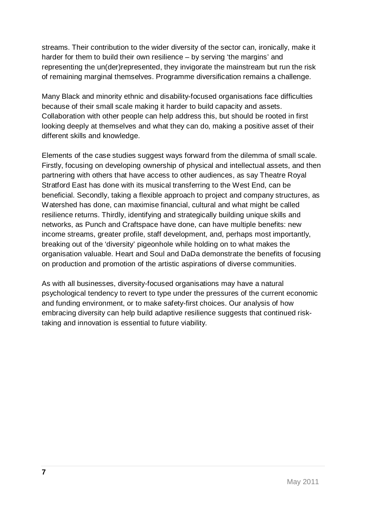streams. Their contribution to the wider diversity of the sector can, ironically, make it harder for them to build their own resilience – by serving 'the margins' and representing the un(der)represented, they invigorate the mainstream but run the risk of remaining marginal themselves. Programme diversification remains a challenge.

Many Black and minority ethnic and disability-focused organisations face difficulties because of their small scale making it harder to build capacity and assets. Collaboration with other people can help address this, but should be rooted in first looking deeply at themselves and what they can do, making a positive asset of their different skills and knowledge.

Elements of the case studies suggest ways forward from the dilemma of small scale. Firstly, focusing on developing ownership of physical and intellectual assets, and then partnering with others that have access to other audiences, as say Theatre Royal Stratford East has done with its musical transferring to the West End, can be beneficial. Secondly, taking a flexible approach to project and company structures, as Watershed has done, can maximise financial, cultural and what might be called resilience returns. Thirdly, identifying and strategically building unique skills and networks, as Punch and Craftspace have done, can have multiple benefits: new income streams, greater profile, staff development, and, perhaps most importantly, breaking out of the 'diversity' pigeonhole while holding on to what makes the organisation valuable. Heart and Soul and DaDa demonstrate the benefits of focusing on production and promotion of the artistic aspirations of diverse communities.

As with all businesses, diversity-focused organisations may have a natural psychological tendency to revert to type under the pressures of the current economic and funding environment, or to make safety-first choices. Our analysis of how embracing diversity can help build adaptive resilience suggests that continued risktaking and innovation is essential to future viability.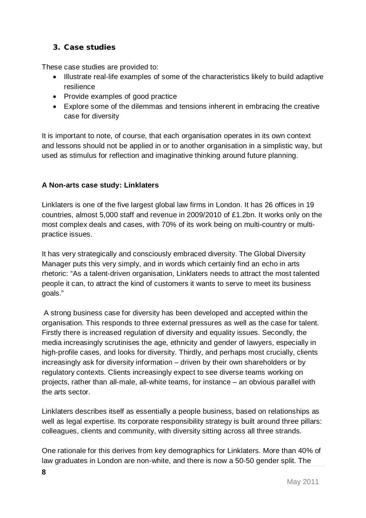### <span id="page-7-0"></span>3. Case studies

These case studies are provided to:

- Illustrate real-life examples of some of the characteristics likely to build adaptive resilience
- Provide examples of good practice
- Explore some of the dilemmas and tensions inherent in embracing the creative case for diversity

It is important to note, of course, that each organisation operates in its own context and lessons should not be applied in or to another organisation in a simplistic way, but used as stimulus for reflection and imaginative thinking around future planning.

#### <span id="page-7-1"></span>**A Non-arts case study: Linklaters**

Linklaters is one of the five largest global law firms in London. It has 26 offices in 19 countries, almost 5,000 staff and revenue in 2009/2010 of £1.2bn. It works only on the most complex deals and cases, with 70% of its work being on multi-country or multipractice issues.

It has very strategically and consciously embraced diversity. The Global Diversity Manager puts this very simply, and in words which certainly find an echo in arts rhetoric: "As a talent-driven organisation, Linklaters needs to attract the most talented people it can, to attract the kind of customers it wants to serve to meet its business goals."

A strong business case for diversity has been developed and accepted within the organisation. This responds to three external pressures as well as the case for talent. Firstly there is increased regulation of diversity and equality issues. Secondly, the media increasingly scrutinises the age, ethnicity and gender of lawyers, especially in high-profile cases, and looks for diversity. Thirdly, and perhaps most crucially, clients increasingly ask for diversity information – driven by their own shareholders or by regulatory contexts. Clients increasingly expect to see diverse teams working on projects, rather than all-male, all-white teams, for instance – an obvious parallel with the arts sector.

Linklaters describes itself as essentially a people business, based on relationships as well as legal expertise. Its corporate responsibility strategy is built around three pillars: colleagues, clients and community, with diversity sitting across all three strands.

One rationale for this derives from key demographics for Linklaters. More than 40% of law graduates in London are non-white, and there is now a 50-50 gender split. The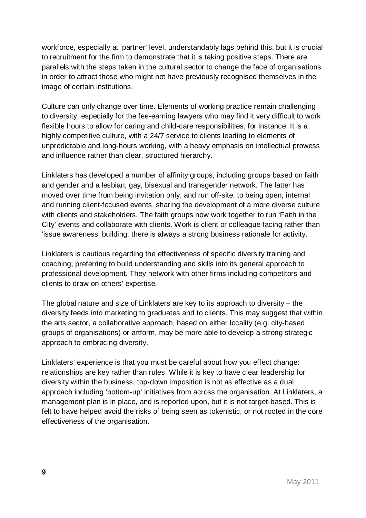workforce, especially at 'partner' level, understandably lags behind this, but it is crucial to recruitment for the firm to demonstrate that it is taking positive steps. There are parallels with the steps taken in the cultural sector to change the face of organisations in order to attract those who might not have previously recognised themselves in the image of certain institutions.

Culture can only change over time. Elements of working practice remain challenging to diversity, especially for the fee-earning lawyers who may find it very difficult to work flexible hours to allow for caring and child-care responsibilities, for instance. It is a highly competitive culture, with a 24/7 service to clients leading to elements of unpredictable and long-hours working, with a heavy emphasis on intellectual prowess and influence rather than clear, structured hierarchy.

Linklaters has developed a number of affinity groups, including groups based on faith and gender and a lesbian, gay, bisexual and transgender network. The latter has moved over time from being invitation only, and run off-site, to being open, internal and running client-focused events, sharing the development of a more diverse culture with clients and stakeholders. The faith groups now work together to run 'Faith in the City' events and collaborate with clients. Work is client or colleague facing rather than 'issue awareness' building: there is always a strong business rationale for activity.

Linklaters is cautious regarding the effectiveness of specific diversity training and coaching, preferring to build understanding and skills into its general approach to professional development. They network with other firms including competitors and clients to draw on others' expertise.

The global nature and size of Linklaters are key to its approach to diversity – the diversity feeds into marketing to graduates and to clients. This may suggest that within the arts sector, a collaborative approach, based on either locality (e.g. city-based groups of organisations) or artform, may be more able to develop a strong strategic approach to embracing diversity.

Linklaters' experience is that you must be careful about how you effect change: relationships are key rather than rules. While it is key to have clear leadership for diversity within the business, top-down imposition is not as effective as a dual approach including 'bottom-up' initiatives from across the organisation. At Linklaters, a management plan is in place, and is reported upon, but it is not target-based. This is felt to have helped avoid the risks of being seen as tokenistic, or not rooted in the core effectiveness of the organisation.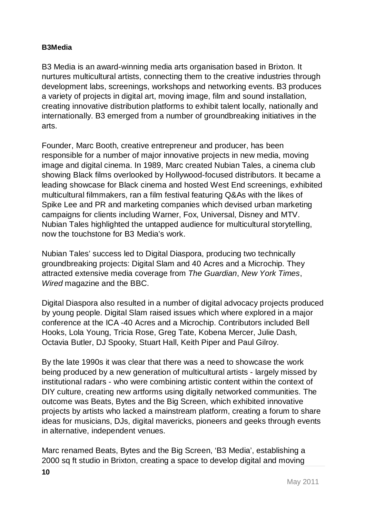### <span id="page-9-0"></span>**B3Media**

B3 Media is an award-winning media arts organisation based in Brixton. It nurtures multicultural artists, connecting them to the creative industries through development labs, screenings, workshops and networking events. B3 produces a variety of projects in digital art, moving image, film and sound installation, creating innovative distribution platforms to exhibit talent locally, nationally and internationally. B3 emerged from a number of groundbreaking initiatives in the arts.

Founder, Marc Booth, creative entrepreneur and producer, has been responsible for a number of major innovative projects in new media, moving image and digital cinema. In 1989, Marc created Nubian Tales, a cinema club showing Black films overlooked by Hollywood-focused distributors. It became a leading showcase for Black cinema and hosted West End screenings, exhibited multicultural filmmakers, ran a film festival featuring Q&As with the likes of Spike Lee and PR and marketing companies which devised urban marketing campaigns for clients including Warner, Fox, Universal, Disney and MTV. Nubian Tales highlighted the untapped audience for multicultural storytelling, now the touchstone for B3 Media's work.

Nubian Tales' success led to Digital Diaspora, producing two technically groundbreaking projects: Digital Slam and 40 Acres and a Microchip. They attracted extensive media coverage from *The Guardian*, *New York Times*, *Wired* magazine and the BBC.

Digital Diaspora also resulted in a number of digital advocacy projects produced by young people. Digital Slam raised issues which where explored in a major conference at the ICA -40 Acres and a Microchip. Contributors included Bell Hooks, Lola Young, Tricia Rose, Greg Tate, Kobena Mercer, Julie Dash, Octavia Butler, DJ Spooky, Stuart Hall, Keith Piper and Paul Gilroy.

By the late 1990s it was clear that there was a need to showcase the work being produced by a new generation of multicultural artists - largely missed by institutional radars - who were combining artistic content within the context of DIY culture, creating new artforms using digitally networked communities. The outcome was Beats, Bytes and the Big Screen, which exhibited innovative projects by artists who lacked a mainstream platform, creating a forum to share ideas for musicians, DJs, digital mavericks, pioneers and geeks through events in alternative, independent venues.

Marc renamed Beats, Bytes and the Big Screen, 'B3 Media', establishing a 2000 sq ft studio in Brixton, creating a space to develop digital and moving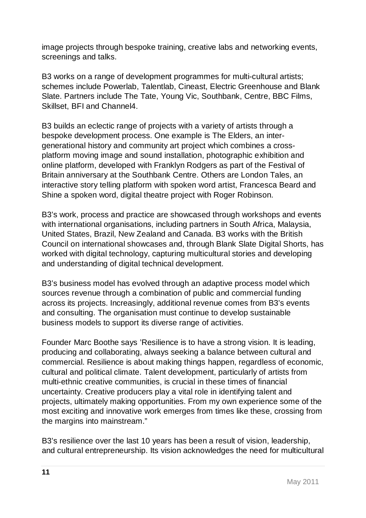image projects through bespoke training, creative labs and networking events, screenings and talks.

B3 works on a range of development programmes for multi-cultural artists; schemes include Powerlab, Talentlab, Cineast, Electric Greenhouse and Blank Slate. Partners include The Tate, Young Vic, Southbank, Centre, BBC Films, Skillset, BFI and Channel4.

B3 builds an eclectic range of projects with a variety of artists through a bespoke development process. One example is The Elders, an intergenerational history and community art project which combines a crossplatform moving image and sound installation, photographic exhibition and online platform, developed with Franklyn Rodgers as part of the Festival of Britain anniversary at the Southbank Centre. Others are London Tales, an interactive story telling platform with spoken word artist, Francesca Beard and Shine a spoken word, digital theatre project with Roger Robinson.

B3's work, process and practice are showcased through workshops and events with international organisations, including partners in South Africa, Malaysia, United States, Brazil, New Zealand and Canada. B3 works with the British Council on international showcases and, through Blank Slate Digital Shorts, has worked with digital technology, capturing multicultural stories and developing and understanding of digital technical development.

B3's business model has evolved through an adaptive process model which sources revenue through a combination of public and commercial funding across its projects. Increasingly, additional revenue comes from B3's events and consulting. The organisation must continue to develop sustainable business models to support its diverse range of activities.

Founder Marc Boothe says 'Resilience is to have a strong vision. It is leading, producing and collaborating, always seeking a balance between cultural and commercial. Resilience is about making things happen, regardless of economic, cultural and political climate. Talent development, particularly of artists from multi-ethnic creative communities, is crucial in these times of financial uncertainty. Creative producers play a vital role in identifying talent and projects, ultimately making opportunities. From my own experience some of the most exciting and innovative work emerges from times like these, crossing from the margins into mainstream."

B3's resilience over the last 10 years has been a result of vision, leadership, and cultural entrepreneurship. Its vision acknowledges the need for multicultural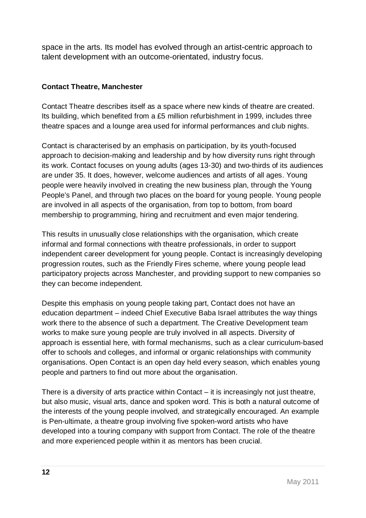space in the arts. Its model has evolved through an artist-centric approach to talent development with an outcome-orientated, industry focus.

#### <span id="page-11-0"></span>**Contact Theatre, Manchester**

Contact Theatre describes itself as a space where new kinds of theatre are created. Its building, which benefited from a £5 million refurbishment in 1999, includes three theatre spaces and a lounge area used for informal performances and club nights.

Contact is characterised by an emphasis on participation, by its youth-focused approach to decision-making and leadership and by how diversity runs right through its work. Contact focuses on young adults (ages 13-30) and two-thirds of its audiences are under 35. It does, however, welcome audiences and artists of all ages. Young people were heavily involved in creating the new business plan, through the Young People's Panel, and through two places on the board for young people. Young people are involved in all aspects of the organisation, from top to bottom, from board membership to programming, hiring and recruitment and even major tendering.

This results in unusually close relationships with the organisation, which create informal and formal connections with theatre professionals, in order to support independent career development for young people. Contact is increasingly developing progression routes, such as the Friendly Fires scheme, where young people lead participatory projects across Manchester, and providing support to new companies so they can become independent.

Despite this emphasis on young people taking part, Contact does not have an education department – indeed Chief Executive Baba Israel attributes the way things work there to the absence of such a department. The Creative Development team works to make sure young people are truly involved in all aspects. Diversity of approach is essential here, with formal mechanisms, such as a clear curriculum-based offer to schools and colleges, and informal or organic relationships with community organisations. Open Contact is an open day held every season, which enables young people and partners to find out more about the organisation.

There is a diversity of arts practice within Contact – it is increasingly not just theatre, but also music, visual arts, dance and spoken word. This is both a natural outcome of the interests of the young people involved, and strategically encouraged. An example is Pen-ultimate, a theatre group involving five spoken-word artists who have developed into a touring company with support from Contact. The role of the theatre and more experienced people within it as mentors has been crucial.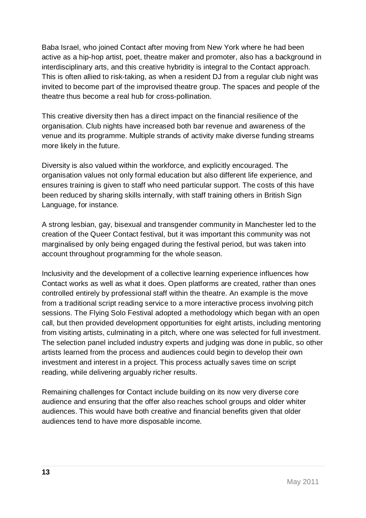Baba Israel, who joined Contact after moving from New York where he had been active as a hip-hop artist, poet, theatre maker and promoter, also has a background in interdisciplinary arts, and this creative hybridity is integral to the Contact approach. This is often allied to risk-taking, as when a resident DJ from a regular club night was invited to become part of the improvised theatre group. The spaces and people of the theatre thus become a real hub for cross-pollination.

This creative diversity then has a direct impact on the financial resilience of the organisation. Club nights have increased both bar revenue and awareness of the venue and its programme. Multiple strands of activity make diverse funding streams more likely in the future.

Diversity is also valued within the workforce, and explicitly encouraged. The organisation values not only formal education but also different life experience, and ensures training is given to staff who need particular support. The costs of this have been reduced by sharing skills internally, with staff training others in British Sign Language, for instance.

A strong lesbian, gay, bisexual and transgender community in Manchester led to the creation of the Queer Contact festival, but it was important this community was not marginalised by only being engaged during the festival period, but was taken into account throughout programming for the whole season.

Inclusivity and the development of a collective learning experience influences how Contact works as well as what it does. Open platforms are created, rather than ones controlled entirely by professional staff within the theatre. An example is the move from a traditional script reading service to a more interactive process involving pitch sessions. The Flying Solo Festival adopted a methodology which began with an open call, but then provided development opportunities for eight artists, including mentoring from visiting artists, culminating in a pitch, where one was selected for full investment. The selection panel included industry experts and judging was done in public, so other artists learned from the process and audiences could begin to develop their own investment and interest in a project. This process actually saves time on script reading, while delivering arguably richer results.

Remaining challenges for Contact include building on its now very diverse core audience and ensuring that the offer also reaches school groups and older whiter audiences. This would have both creative and financial benefits given that older audiences tend to have more disposable income.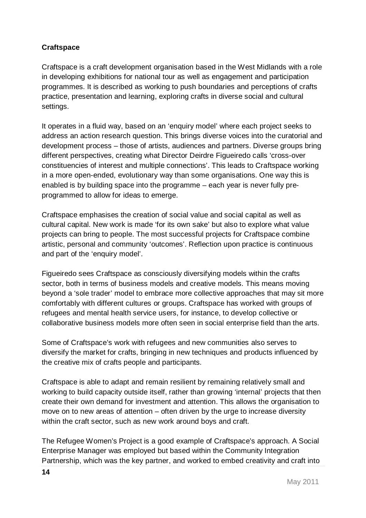### <span id="page-13-0"></span>**Craftspace**

Craftspace is a craft development organisation based in the West Midlands with a role in developing exhibitions for national tour as well as engagement and participation programmes. It is described as working to push boundaries and perceptions of crafts practice, presentation and learning, exploring crafts in diverse social and cultural settings.

It operates in a fluid way, based on an 'enquiry model' where each project seeks to address an action research question. This brings diverse voices into the curatorial and development process – those of artists, audiences and partners. Diverse groups bring different perspectives, creating what Director Deirdre Figueiredo calls 'cross-over constituencies of interest and multiple connections'. This leads to Craftspace working in a more open-ended, evolutionary way than some organisations. One way this is enabled is by building space into the programme – each year is never fully preprogrammed to allow for ideas to emerge.

Craftspace emphasises the creation of social value and social capital as well as cultural capital. New work is made 'for its own sake' but also to explore what value projects can bring to people. The most successful projects for Craftspace combine artistic, personal and community 'outcomes'. Reflection upon practice is continuous and part of the 'enquiry model'.

Figueiredo sees Craftspace as consciously diversifying models within the crafts sector, both in terms of business models and creative models. This means moving beyond a 'sole trader' model to embrace more collective approaches that may sit more comfortably with different cultures or groups. Craftspace has worked with groups of refugees and mental health service users, for instance, to develop collective or collaborative business models more often seen in social enterprise field than the arts.

Some of Craftspace's work with refugees and new communities also serves to diversify the market for crafts, bringing in new techniques and products influenced by the creative mix of crafts people and participants.

Craftspace is able to adapt and remain resilient by remaining relatively small and working to build capacity outside itself, rather than growing 'internal' projects that then create their own demand for investment and attention. This allows the organisation to move on to new areas of attention – often driven by the urge to increase diversity within the craft sector, such as new work around boys and craft.

The Refugee Women's Project is a good example of Craftspace's approach. A Social Enterprise Manager was employed but based within the Community Integration Partnership, which was the key partner, and worked to embed creativity and craft into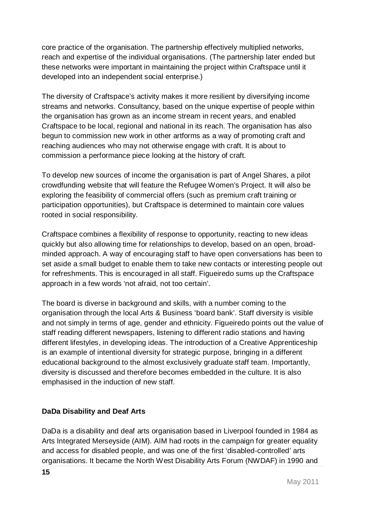core practice of the organisation. The partnership effectively multiplied networks, reach and expertise of the individual organisations. (The partnership later ended but these networks were important in maintaining the project within Craftspace until it developed into an independent social enterprise.)

The diversity of Craftspace's activity makes it more resilient by diversifying income streams and networks. Consultancy, based on the unique expertise of people within the organisation has grown as an income stream in recent years, and enabled Craftspace to be local, regional and national in its reach. The organisation has also begun to commission new work in other artforms as a way of promoting craft and reaching audiences who may not otherwise engage with craft. It is about to commission a performance piece looking at the history of craft.

To develop new sources of income the organisation is part of Angel Shares, a pilot crowdfunding website that will feature the Refugee Women's Project. It will also be exploring the feasibility of commercial offers (such as premium craft training or participation opportunities), but Craftspace is determined to maintain core values rooted in social responsibility.

Craftspace combines a flexibility of response to opportunity, reacting to new ideas quickly but also allowing time for relationships to develop, based on an open, broadminded approach. A way of encouraging staff to have open conversations has been to set aside a small budget to enable them to take new contacts or interesting people out for refreshments. This is encouraged in all staff. Figueiredo sums up the Craftspace approach in a few words 'not afraid, not too certain'.

The board is diverse in background and skills, with a number coming to the organisation through the local Arts & Business 'board bank'. Staff diversity is visible and not simply in terms of age, gender and ethnicity. Figueiredo points out the value of staff reading different newspapers, listening to different radio stations and having different lifestyles, in developing ideas. The introduction of a Creative Apprenticeship is an example of intentional diversity for strategic purpose, bringing in a different educational background to the almost exclusively graduate staff team. Importantly, diversity is discussed and therefore becomes embedded in the culture. It is also emphasised in the induction of new staff.

## <span id="page-14-0"></span>**DaDa Disability and Deaf Arts**

DaDa is a disability and deaf arts organisation based in Liverpool founded in 1984 as Arts Integrated Merseyside (AIM). AIM had roots in the campaign for greater equality and access for disabled people, and was one of the first 'disabled-controlled' arts organisations. It became the North West Disability Arts Forum (NWDAF) in 1990 and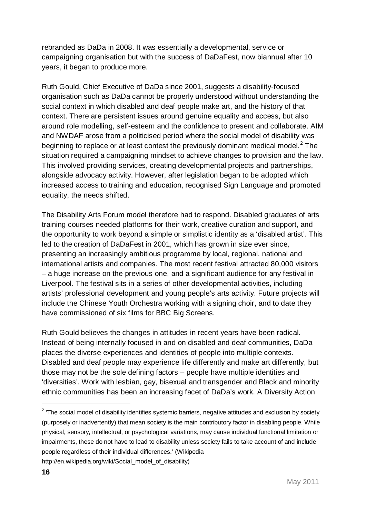rebranded as DaDa in 2008. It was essentially a developmental, service or campaigning organisation but with the success of DaDaFest, now biannual after 10 years, it began to produce more.

Ruth Gould, Chief Executive of DaDa since 2001, suggests a disability-focused organisation such as DaDa cannot be properly understood without understanding the social context in which disabled and deaf people make art, and the history of that context. There are persistent issues around genuine equality and access, but also around role modelling, self-esteem and the confidence to present and collaborate. AIM and NWDAF arose from a politicised period where the social model of disability was beginning to replace or at least contest the previously dominant medical model.<sup>[2](#page-15-0)</sup> The situation required a campaigning mindset to achieve changes to provision and the law. This involved providing services, creating developmental projects and partnerships, alongside advocacy activity. However, after legislation began to be adopted which increased access to training and education, recognised Sign Language and promoted equality, the needs shifted.

The Disability Arts Forum model therefore had to respond. Disabled graduates of arts training courses needed platforms for their work, creative curation and support, and the opportunity to work beyond a simple or simplistic identity as a 'disabled artist'. This led to the creation of DaDaFest in 2001, which has grown in size ever since, presenting an increasingly ambitious programme by local, regional, national and international artists and companies. The most recent festival attracted 80,000 visitors – a huge increase on the previous one, and a significant audience for any festival in Liverpool. The festival sits in a series of other developmental activities, including artists' professional development and young people's arts activity. Future projects will include the Chinese Youth Orchestra working with a signing choir, and to date they have commissioned of six films for BBC Big Screens.

Ruth Gould believes the changes in attitudes in recent years have been radical. Instead of being internally focused in and on disabled and deaf communities, DaDa places the diverse experiences and identities of people into multiple contexts. Disabled and deaf people may experience life differently and make art differently, but those may not be the sole defining factors – people have multiple identities and 'diversities'. Work with lesbian, gay, bisexual and transgender and Black and minority ethnic communities has been an increasing facet of DaDa's work. A Diversity Action

<span id="page-15-0"></span> $2$  'The social model of disability identifies systemic barriers, negative attitudes and exclusion by society (purposely or inadvertently) that mean society is the main contributory factor in disabling people. While physical, sensory, intellectual, or psychological variations, may cause individual functional limitation or impairments, these do not have to lead to disability unless society fails to take account of and include people regardless of their individual differences.' (Wikipedia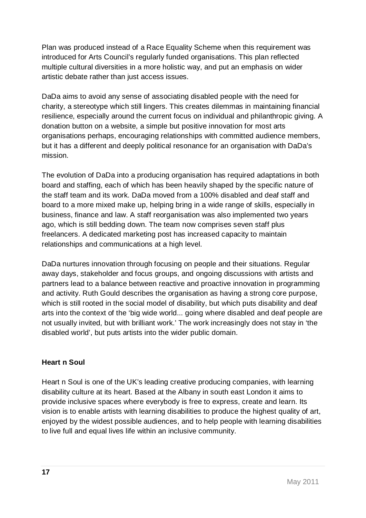Plan was produced instead of a Race Equality Scheme when this requirement was introduced for Arts Council's regularly funded organisations. This plan reflected multiple cultural diversities in a more holistic way, and put an emphasis on wider artistic debate rather than just access issues.

DaDa aims to avoid any sense of associating disabled people with the need for charity, a stereotype which still lingers. This creates dilemmas in maintaining financial resilience, especially around the current focus on individual and philanthropic giving. A donation button on a website, a simple but positive innovation for most arts organisations perhaps, encouraging relationships with committed audience members, but it has a different and deeply political resonance for an organisation with DaDa's mission.

The evolution of DaDa into a producing organisation has required adaptations in both board and staffing, each of which has been heavily shaped by the specific nature of the staff team and its work. DaDa moved from a 100% disabled and deaf staff and board to a more mixed make up, helping bring in a wide range of skills, especially in business, finance and law. A staff reorganisation was also implemented two years ago, which is still bedding down. The team now comprises seven staff plus freelancers. A dedicated marketing post has increased capacity to maintain relationships and communications at a high level.

DaDa nurtures innovation through focusing on people and their situations. Regular away days, stakeholder and focus groups, and ongoing discussions with artists and partners lead to a balance between reactive and proactive innovation in programming and activity. Ruth Gould describes the organisation as having a strong core purpose, which is still rooted in the social model of disability, but which puts disability and deaf arts into the context of the 'big wide world... going where disabled and deaf people are not usually invited, but with brilliant work.' The work increasingly does not stay in 'the disabled world', but puts artists into the wider public domain.

#### <span id="page-16-0"></span>**Heart n Soul**

Heart n Soul is one of the UK's leading creative producing companies, with learning disability culture at its heart. Based at the Albany in south east London it aims to provide inclusive spaces where everybody is free to express, create and learn. Its vision is to enable artists with learning disabilities to produce the highest quality of art, enjoyed by the widest possible audiences, and to help people with learning disabilities to live full and equal lives life within an inclusive community.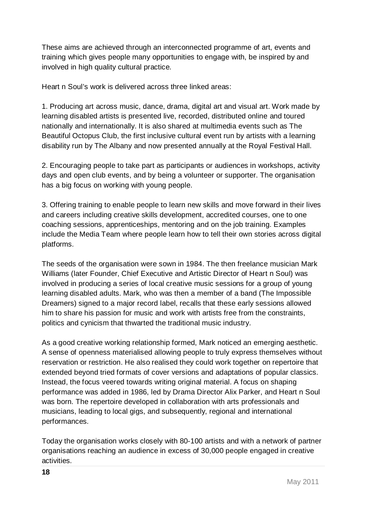These aims are achieved through an interconnected programme of art, events and training which gives people many opportunities to engage with, be inspired by and involved in high quality cultural practice.

Heart n Soul's work is delivered across three linked areas:

1. Producing art across music, dance, drama, digital art and visual art. Work made by learning disabled artists is presented live, recorded, distributed online and toured nationally and internationally. It is also shared at multimedia events such as The Beautiful Octopus Club, the first inclusive cultural event run by artists with a learning disability run by The Albany and now presented annually at the Royal Festival Hall.

2. Encouraging people to take part as participants or audiences in workshops, activity days and open club events, and by being a volunteer or supporter. The organisation has a big focus on working with young people.

3. Offering training to enable people to learn new skills and move forward in their lives and careers including creative skills development, accredited courses, one to one coaching sessions, apprenticeships, mentoring and on the job training. Examples include the Media Team where people learn how to tell their own stories across digital platforms.

The seeds of the organisation were sown in 1984. The then freelance musician Mark Williams (later Founder, Chief Executive and Artistic Director of Heart n Soul) was involved in producing a series of local creative music sessions for a group of young learning disabled adults. Mark, who was then a member of a band (The Impossible Dreamers) signed to a major record label, recalls that these early sessions allowed him to share his passion for music and work with artists free from the constraints, politics and cynicism that thwarted the traditional music industry.

As a good creative working relationship formed, Mark noticed an emerging aesthetic. A sense of openness materialised allowing people to truly express themselves without reservation or restriction. He also realised they could work together on repertoire that extended beyond tried formats of cover versions and adaptations of popular classics. Instead, the focus veered towards writing original material. A focus on shaping performance was added in 1986, led by Drama Director Alix Parker, and Heart n Soul was born. The repertoire developed in collaboration with arts professionals and musicians, leading to local gigs, and subsequently, regional and international performances.

Today the organisation works closely with 80-100 artists and with a network of partner organisations reaching an audience in excess of 30,000 people engaged in creative activities.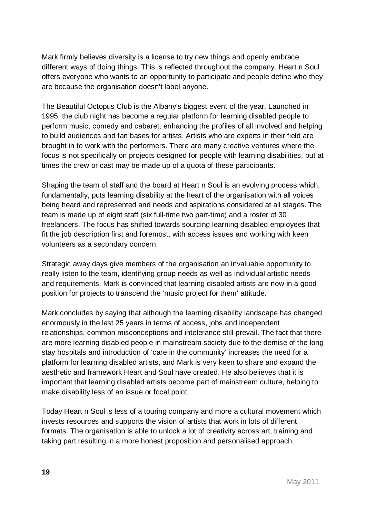Mark firmly believes diversity is a license to try new things and openly embrace different ways of doing things. This is reflected throughout the company. Heart n Soul offers everyone who wants to an opportunity to participate and people define who they are because the organisation doesn't label anyone.

The Beautiful Octopus Club is the Albany's biggest event of the year. Launched in 1995, the club night has become a regular platform for learning disabled people to perform music, comedy and cabaret, enhancing the profiles of all involved and helping to build audiences and fan bases for artists. Artists who are experts in their field are brought in to work with the performers. There are many creative ventures where the focus is not specifically on projects designed for people with learning disabilities, but at times the crew or cast may be made up of a quota of these participants.

Shaping the team of staff and the board at Heart n Soul is an evolving process which, fundamentally, puts learning disability at the heart of the organisation with all voices being heard and represented and needs and aspirations considered at all stages. The team is made up of eight staff (six full-time two part-time) and a roster of 30 freelancers. The focus has shifted towards sourcing learning disabled employees that fit the job description first and foremost, with access issues and working with keen volunteers as a secondary concern.

Strategic away days give members of the organisation an invaluable opportunity to really listen to the team, identifying group needs as well as individual artistic needs and requirements. Mark is convinced that learning disabled artists are now in a good position for projects to transcend the 'music project for them' attitude.

Mark concludes by saying that although the learning disability landscape has changed enormously in the last 25 years in terms of access, jobs and independent relationships, common misconceptions and intolerance still prevail. The fact that there are more learning disabled people in mainstream society due to the demise of the long stay hospitals and introduction of 'care in the community' increases the need for a platform for learning disabled artists, and Mark is very keen to share and expand the aesthetic and framework Heart and Soul have created. He also believes that it is important that learning disabled artists become part of mainstream culture, helping to make disability less of an issue or focal point.

Today Heart n Soul is less of a touring company and more a cultural movement which invests resources and supports the vision of artists that work in lots of different formats. The organisation is able to unlock a lot of creativity across art, training and taking part resulting in a more honest proposition and personalised approach.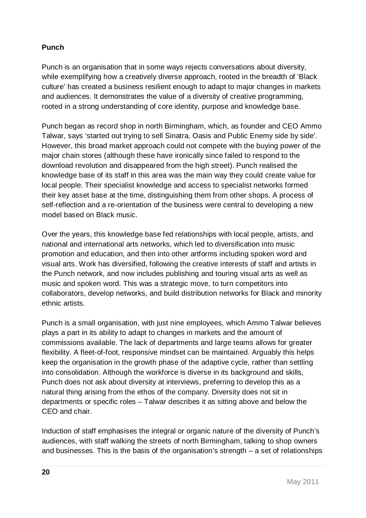### <span id="page-19-0"></span>**Punch**

Punch is an organisation that in some ways rejects conversations about diversity, while exemplifying how a creatively diverse approach, rooted in the breadth of 'Black culture' has created a business resilient enough to adapt to major changes in markets and audiences. It demonstrates the value of a diversity of creative programming, rooted in a strong understanding of core identity, purpose and knowledge base.

Punch began as record shop in north Birmingham, which, as founder and CEO Ammo Talwar, says 'started out trying to sell Sinatra, Oasis and Public Enemy side by side'. However, this broad market approach could not compete with the buying power of the major chain stores (although these have ironically since failed to respond to the download revolution and disappeared from the high street). Punch realised the knowledge base of its staff in this area was the main way they could create value for local people. Their specialist knowledge and access to specialist networks formed their key asset base at the time, distinguishing them from other shops. A process of self-reflection and a re-orientation of the business were central to developing a new model based on Black music.

Over the years, this knowledge base fed relationships with local people, artists, and national and international arts networks, which led to diversification into music promotion and education, and then into other artforms including spoken word and visual arts. Work has diversified, following the creative interests of staff and artists in the Punch network, and now includes publishing and touring visual arts as well as music and spoken word. This was a strategic move, to turn competitors into collaborators, develop networks, and build distribution networks for Black and minority ethnic artists.

Punch is a small organisation, with just nine employees, which Ammo Talwar believes plays a part in its ability to adapt to changes in markets and the amount of commissions available. The lack of departments and large teams allows for greater flexibility. A fleet-of-foot, responsive mindset can be maintained. Arguably this helps keep the organisation in the growth phase of the adaptive cycle, rather than settling into consolidation. Although the workforce is diverse in its background and skills, Punch does not ask about diversity at interviews, preferring to develop this as a natural thing arising from the ethos of the company. Diversity does not sit in departments or specific roles – Talwar describes it as sitting above and below the CEO and chair.

Induction of staff emphasises the integral or organic nature of the diversity of Punch's audiences, with staff walking the streets of north Birmingham, talking to shop owners and businesses. This is the basis of the organisation's strength – a set of relationships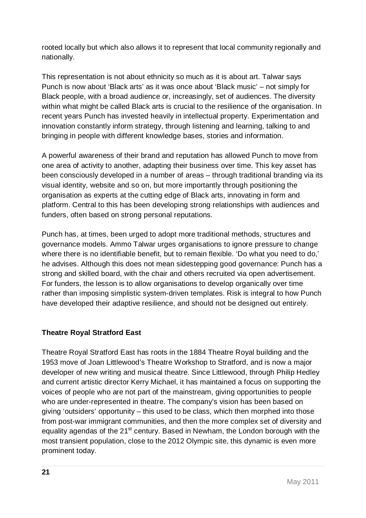rooted locally but which also allows it to represent that local community regionally and nationally.

This representation is not about ethnicity so much as it is about art. Talwar says Punch is now about 'Black arts' as it was once about 'Black music' – not simply for Black people, with a broad audience or, increasingly, set of audiences. The diversity within what might be called Black arts is crucial to the resilience of the organisation. In recent years Punch has invested heavily in intellectual property. Experimentation and innovation constantly inform strategy, through listening and learning, talking to and bringing in people with different knowledge bases, stories and information.

A powerful awareness of their brand and reputation has allowed Punch to move from one area of activity to another, adapting their business over time. This key asset has been consciously developed in a number of areas – through traditional branding via its visual identity, website and so on, but more importantly through positioning the organisation as experts at the cutting edge of Black arts, innovating in form and platform. Central to this has been developing strong relationships with audiences and funders, often based on strong personal reputations.

Punch has, at times, been urged to adopt more traditional methods, structures and governance models. Ammo Talwar urges organisations to ignore pressure to change where there is no identifiable benefit, but to remain flexible. 'Do what you need to do,' he advises. Although this does not mean sidestepping good governance: Punch has a strong and skilled board, with the chair and others recruited via open advertisement. For funders, the lesson is to allow organisations to develop organically over time rather than imposing simplistic system-driven templates. Risk is integral to how Punch have developed their adaptive resilience, and should not be designed out entirely.

## <span id="page-20-0"></span>**Theatre Royal Stratford East**

Theatre Royal Stratford East has roots in the 1884 Theatre Royal building and the 1953 move of Joan Littlewood's Theatre Workshop to Stratford, and is now a major developer of new writing and musical theatre. Since Littlewood, through Philip Hedley and current artistic director Kerry Michael, it has maintained a focus on supporting the voices of people who are not part of the mainstream, giving opportunities to people who are under-represented in theatre. The company's vision has been based on giving 'outsiders' opportunity – this used to be class, which then morphed into those from post-war immigrant communities, and then the more complex set of diversity and equality agendas of the  $21<sup>st</sup>$  century. Based in Newham, the London borough with the most transient population, close to the 2012 Olympic site, this dynamic is even more prominent today.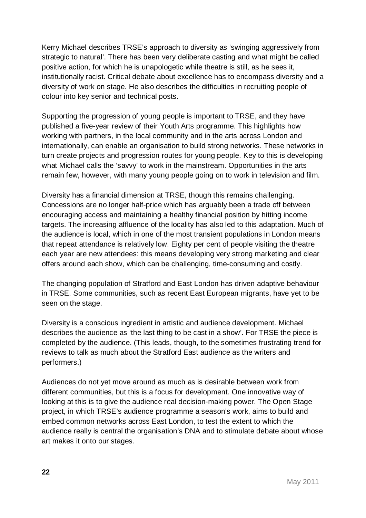Kerry Michael describes TRSE's approach to diversity as 'swinging aggressively from strategic to natural'. There has been very deliberate casting and what might be called positive action, for which he is unapologetic while theatre is still, as he sees it, institutionally racist. Critical debate about excellence has to encompass diversity and a diversity of work on stage. He also describes the difficulties in recruiting people of colour into key senior and technical posts.

Supporting the progression of young people is important to TRSE, and they have published a five-year review of their Youth Arts programme. This highlights how working with partners, in the local community and in the arts across London and internationally, can enable an organisation to build strong networks. These networks in turn create projects and progression routes for young people. Key to this is developing what Michael calls the 'savvy' to work in the mainstream. Opportunities in the arts remain few, however, with many young people going on to work in television and film.

Diversity has a financial dimension at TRSE, though this remains challenging. Concessions are no longer half-price which has arguably been a trade off between encouraging access and maintaining a healthy financial position by hitting income targets. The increasing affluence of the locality has also led to this adaptation. Much of the audience is local, which in one of the most transient populations in London means that repeat attendance is relatively low. Eighty per cent of people visiting the theatre each year are new attendees: this means developing very strong marketing and clear offers around each show, which can be challenging, time-consuming and costly.

The changing population of Stratford and East London has driven adaptive behaviour in TRSE. Some communities, such as recent East European migrants, have yet to be seen on the stage.

Diversity is a conscious ingredient in artistic and audience development. Michael describes the audience as 'the last thing to be cast in a show'. For TRSE the piece is completed by the audience. (This leads, though, to the sometimes frustrating trend for reviews to talk as much about the Stratford East audience as the writers and performers.)

Audiences do not yet move around as much as is desirable between work from different communities, but this is a focus for development. One innovative way of looking at this is to give the audience real decision-making power. The Open Stage project, in which TRSE's audience programme a season's work, aims to build and embed common networks across East London, to test the extent to which the audience really is central the organisation's DNA and to stimulate debate about whose art makes it onto our stages.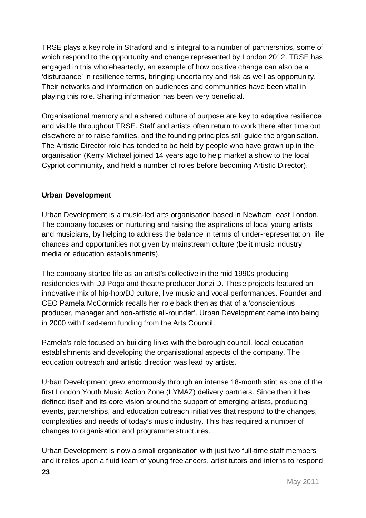TRSE plays a key role in Stratford and is integral to a number of partnerships, some of which respond to the opportunity and change represented by London 2012. TRSE has engaged in this wholeheartedly, an example of how positive change can also be a 'disturbance' in resilience terms, bringing uncertainty and risk as well as opportunity. Their networks and information on audiences and communities have been vital in playing this role. Sharing information has been very beneficial.

Organisational memory and a shared culture of purpose are key to adaptive resilience and visible throughout TRSE. Staff and artists often return to work there after time out elsewhere or to raise families, and the founding principles still guide the organisation. The Artistic Director role has tended to be held by people who have grown up in the organisation (Kerry Michael joined 14 years ago to help market a show to the local Cypriot community, and held a number of roles before becoming Artistic Director).

#### <span id="page-22-0"></span>**Urban Development**

Urban Development is a music-led arts organisation based in Newham, east London. The company focuses on nurturing and raising the aspirations of local young artists and musicians, by helping to address the balance in terms of under-representation, life chances and opportunities not given by mainstream culture (be it music industry, media or education establishments).

The company started life as an artist's collective in the mid 1990s producing residencies with DJ Pogo and theatre producer Jonzi D. These projects featured an innovative mix of hip-hop/DJ culture, live music and vocal performances. Founder and CEO Pamela McCormick recalls her role back then as that of a 'conscientious producer, manager and non-artistic all-rounder'. Urban Development came into being in 2000 with fixed-term funding from the Arts Council.

Pamela's role focused on building links with the borough council, local education establishments and developing the organisational aspects of the company. The education outreach and artistic direction was lead by artists.

Urban Development grew enormously through an intense 18-month stint as one of the first London Youth Music Action Zone (LYMAZ) delivery partners. Since then it has defined itself and its core vision around the support of emerging artists, producing events, partnerships, and education outreach initiatives that respond to the changes, complexities and needs of today's music industry. This has required a number of changes to organisation and programme structures.

Urban Development is now a small organisation with just two full-time staff members and it relies upon a fluid team of young freelancers, artist tutors and interns to respond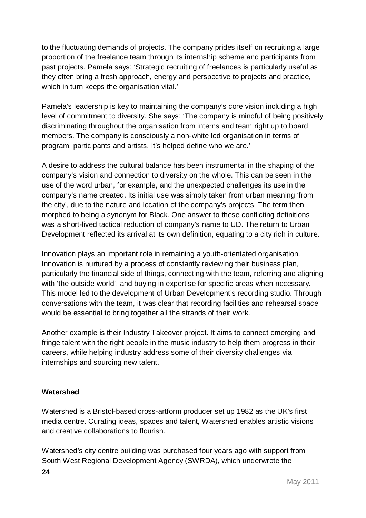to the fluctuating demands of projects. The company prides itself on recruiting a large proportion of the freelance team through its internship scheme and participants from past projects. Pamela says: 'Strategic recruiting of freelances is particularly useful as they often bring a fresh approach, energy and perspective to projects and practice, which in turn keeps the organisation vital.'

Pamela's leadership is key to maintaining the company's core vision including a high level of commitment to diversity. She says: 'The company is mindful of being positively discriminating throughout the organisation from interns and team right up to board members. The company is consciously a non-white led organisation in terms of program, participants and artists. It's helped define who we are.'

A desire to address the cultural balance has been instrumental in the shaping of the company's vision and connection to diversity on the whole. This can be seen in the use of the word urban, for example, and the unexpected challenges its use in the company's name created. Its initial use was simply taken from urban meaning 'from the city', due to the nature and location of the company's projects. The term then morphed to being a synonym for Black. One answer to these conflicting definitions was a short-lived tactical reduction of company's name to UD. The return to Urban Development reflected its arrival at its own definition, equating to a city rich in culture.

Innovation plays an important role in remaining a youth-orientated organisation. Innovation is nurtured by a process of constantly reviewing their business plan, particularly the financial side of things, connecting with the team, referring and aligning with 'the outside world', and buying in expertise for specific areas when necessary. This model led to the development of Urban Development's recording studio. Through conversations with the team, it was clear that recording facilities and rehearsal space would be essential to bring together all the strands of their work.

Another example is their Industry Takeover project. It aims to connect emerging and fringe talent with the right people in the music industry to help them progress in their careers, while helping industry address some of their diversity challenges via internships and sourcing new talent.

#### <span id="page-23-0"></span>**Watershed**

Watershed is a Bristol-based cross-artform producer set up 1982 as the UK's first media centre. Curating ideas, spaces and talent, Watershed enables artistic visions and creative collaborations to flourish.

Watershed's city centre building was purchased four years ago with support from South West Regional Development Agency (SWRDA), which underwrote the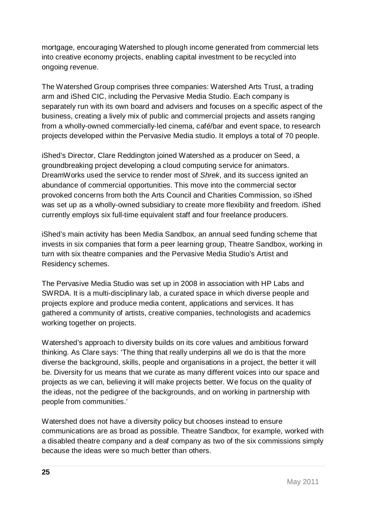mortgage, encouraging Watershed to plough income generated from commercial lets into creative economy projects, enabling capital investment to be recycled into ongoing revenue.

The Watershed Group comprises three companies: Watershed Arts Trust, a trading arm and iShed CIC, including the Pervasive Media Studio. Each company is separately run with its own board and advisers and focuses on a specific aspect of the business, creating a lively mix of public and commercial projects and assets ranging from a wholly-owned commercially-led cinema, café/bar and event space, to research projects developed within the Pervasive Media studio. It employs a total of 70 people.

iShed's Director, Clare Reddington joined Watershed as a producer on Seed, a groundbreaking project developing a cloud computing service for animators. DreamWorks used the service to render most of *Shrek*, and its success ignited an abundance of commercial opportunities. This move into the commercial sector provoked concerns from both the Arts Council and Charities Commission, so iShed was set up as a wholly-owned subsidiary to create more flexibility and freedom. iShed currently employs six full-time equivalent staff and four freelance producers.

iShed's main activity has been Media Sandbox, an annual seed funding scheme that invests in six companies that form a peer learning group, Theatre Sandbox, working in turn with six theatre companies and the Pervasive Media Studio's Artist and Residency schemes.

The Pervasive Media Studio was set up in 2008 in association with HP Labs and SWRDA. It is a multi-disciplinary lab, a curated space in which diverse people and projects explore and produce media content, applications and services. It has gathered a community of artists, creative companies, technologists and academics working together on projects.

Watershed's approach to diversity builds on its core values and ambitious forward thinking. As Clare says: 'The thing that really underpins all we do is that the more diverse the background, skills, people and organisations in a project, the better it will be. Diversity for us means that we curate as many different voices into our space and projects as we can, believing it will make projects better. We focus on the quality of the ideas, not the pedigree of the backgrounds, and on working in partnership with people from communities.'

Watershed does not have a diversity policy but chooses instead to ensure communications are as broad as possible. Theatre Sandbox, for example, worked with a disabled theatre company and a deaf company as two of the six commissions simply because the ideas were so much better than others.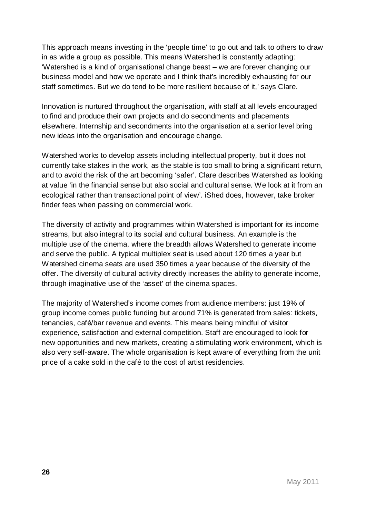This approach means investing in the 'people time' to go out and talk to others to draw in as wide a group as possible. This means Watershed is constantly adapting: 'Watershed is a kind of organisational change beast – we are forever changing our business model and how we operate and I think that's incredibly exhausting for our staff sometimes. But we do tend to be more resilient because of it,' says Clare.

Innovation is nurtured throughout the organisation, with staff at all levels encouraged to find and produce their own projects and do secondments and placements elsewhere. Internship and secondments into the organisation at a senior level bring new ideas into the organisation and encourage change.

Watershed works to develop assets including intellectual property, but it does not currently take stakes in the work, as the stable is too small to bring a significant return, and to avoid the risk of the art becoming 'safer'. Clare describes Watershed as looking at value 'in the financial sense but also social and cultural sense. We look at it from an ecological rather than transactional point of view'. iShed does, however, take broker finder fees when passing on commercial work.

The diversity of activity and programmes within Watershed is important for its income streams, but also integral to its social and cultural business. An example is the multiple use of the cinema, where the breadth allows Watershed to generate income and serve the public. A typical multiplex seat is used about 120 times a year but Watershed cinema seats are used 350 times a year because of the diversity of the offer. The diversity of cultural activity directly increases the ability to generate income, through imaginative use of the 'asset' of the cinema spaces.

The majority of Watershed's income comes from audience members: just 19% of group income comes public funding but around 71% is generated from sales: tickets, tenancies, café/bar revenue and events. This means being mindful of visitor experience, satisfaction and external competition. Staff are encouraged to look for new opportunities and new markets, creating a stimulating work environment, which is also very self-aware. The whole organisation is kept aware of everything from the unit price of a cake sold in the café to the cost of artist residencies.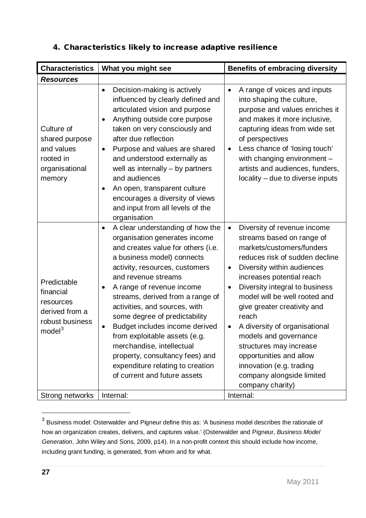| <b>Characteristics</b>                                                                           | What you might see                                                                                                                                                                                                                                                                                                                                                                                                                                                                                                                                         | <b>Benefits of embracing diversity</b>                                                                                                                                                                                                                                                                                                                                                                                                                                                                                                 |
|--------------------------------------------------------------------------------------------------|------------------------------------------------------------------------------------------------------------------------------------------------------------------------------------------------------------------------------------------------------------------------------------------------------------------------------------------------------------------------------------------------------------------------------------------------------------------------------------------------------------------------------------------------------------|----------------------------------------------------------------------------------------------------------------------------------------------------------------------------------------------------------------------------------------------------------------------------------------------------------------------------------------------------------------------------------------------------------------------------------------------------------------------------------------------------------------------------------------|
| <b>Resources</b>                                                                                 |                                                                                                                                                                                                                                                                                                                                                                                                                                                                                                                                                            |                                                                                                                                                                                                                                                                                                                                                                                                                                                                                                                                        |
| Culture of<br>shared purpose<br>and values<br>rooted in<br>organisational<br>memory              | Decision-making is actively<br>$\bullet$<br>influenced by clearly defined and<br>articulated vision and purpose<br>Anything outside core purpose<br>٠<br>taken on very consciously and<br>after due reflection<br>Purpose and values are shared<br>$\bullet$<br>and understood externally as<br>well as internally - by partners<br>and audiences<br>An open, transparent culture<br>٠<br>encourages a diversity of views<br>and input from all levels of the<br>organisation                                                                              | A range of voices and inputs<br>$\bullet$<br>into shaping the culture,<br>purpose and values enriches it<br>and makes it more inclusive,<br>capturing ideas from wide set<br>of perspectives<br>Less chance of 'losing touch'<br>$\bullet$<br>with changing environment -<br>artists and audiences, funders,<br>locality - due to diverse inputs                                                                                                                                                                                       |
| Predictable<br>financial<br>resources<br>derived from a<br>robust business<br>model <sup>3</sup> | A clear understanding of how the<br>$\bullet$<br>organisation generates income<br>and creates value for others (i.e.<br>a business model) connects<br>activity, resources, customers<br>and revenue streams<br>A range of revenue income<br>streams, derived from a range of<br>activities, and sources, with<br>some degree of predictability<br>Budget includes income derived<br>٠<br>from exploitable assets (e.g.<br>merchandise, intellectual<br>property, consultancy fees) and<br>expenditure relating to creation<br>of current and future assets | Diversity of revenue income<br>$\bullet$<br>streams based on range of<br>markets/customers/funders<br>reduces risk of sudden decline<br>Diversity within audiences<br>$\bullet$<br>increases potential reach<br>Diversity integral to business<br>$\bullet$<br>model will be well rooted and<br>give greater creativity and<br>reach<br>A diversity of organisational<br>٠<br>models and governance<br>structures may increase<br>opportunities and allow<br>innovation (e.g. trading<br>company alongside limited<br>company charity) |
| Strong networks                                                                                  | Internal:                                                                                                                                                                                                                                                                                                                                                                                                                                                                                                                                                  | Internal:                                                                                                                                                                                                                                                                                                                                                                                                                                                                                                                              |

# <span id="page-26-0"></span>4. Characteristics likely to increase adaptive resilience

<span id="page-26-1"></span><sup>&</sup>lt;sup>3</sup> Business model: Osterwalder and Pigneur define this as: 'A business model describes the rationale of how an organization creates, delivers, and captures value.' (Osterwalder and Pigneur, *Business Model Generation*, John Wiley and Sons, 2009, p14). In a non-profit context this should include how income, including grant funding, is generated, from whom and for what.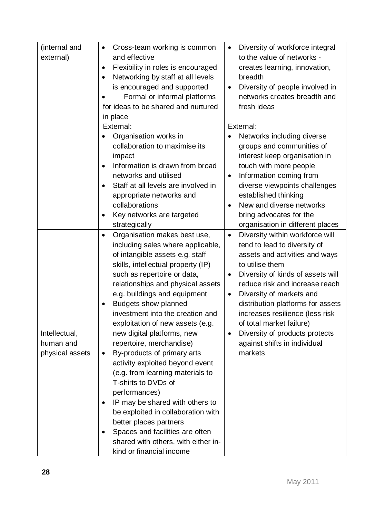| (internal and<br>external) | Cross-team working is common<br>٠<br>and effective<br>Flexibility in roles is encouraged<br>$\bullet$<br>Networking by staff at all levels<br>٠<br>is encouraged and supported<br>Formal or informal platforms<br>for ideas to be shared and nurtured<br>in place                                                                                                                                | Diversity of workforce integral<br>$\bullet$<br>to the value of networks -<br>creates learning, innovation,<br>breadth<br>Diversity of people involved in<br>$\bullet$<br>networks creates breadth and<br>fresh ideas                                                                                                                                                                                |
|----------------------------|--------------------------------------------------------------------------------------------------------------------------------------------------------------------------------------------------------------------------------------------------------------------------------------------------------------------------------------------------------------------------------------------------|------------------------------------------------------------------------------------------------------------------------------------------------------------------------------------------------------------------------------------------------------------------------------------------------------------------------------------------------------------------------------------------------------|
|                            |                                                                                                                                                                                                                                                                                                                                                                                                  |                                                                                                                                                                                                                                                                                                                                                                                                      |
|                            | External:                                                                                                                                                                                                                                                                                                                                                                                        | External:                                                                                                                                                                                                                                                                                                                                                                                            |
|                            | Organisation works in<br>collaboration to maximise its<br>impact<br>Information is drawn from broad<br>٠                                                                                                                                                                                                                                                                                         | Networks including diverse<br>groups and communities of<br>interest keep organisation in<br>touch with more people                                                                                                                                                                                                                                                                                   |
|                            | networks and utilised                                                                                                                                                                                                                                                                                                                                                                            | Information coming from<br>$\bullet$                                                                                                                                                                                                                                                                                                                                                                 |
|                            | Staff at all levels are involved in<br>$\bullet$<br>appropriate networks and                                                                                                                                                                                                                                                                                                                     | diverse viewpoints challenges<br>established thinking                                                                                                                                                                                                                                                                                                                                                |
|                            | collaborations                                                                                                                                                                                                                                                                                                                                                                                   | New and diverse networks                                                                                                                                                                                                                                                                                                                                                                             |
|                            | Key networks are targeted<br>٠                                                                                                                                                                                                                                                                                                                                                                   | bring advocates for the                                                                                                                                                                                                                                                                                                                                                                              |
|                            | strategically                                                                                                                                                                                                                                                                                                                                                                                    | organisation in different places                                                                                                                                                                                                                                                                                                                                                                     |
| Intellectual,              | Organisation makes best use,<br>including sales where applicable,<br>of intangible assets e.g. staff<br>skills, intellectual property (IP)<br>such as repertoire or data,<br>relationships and physical assets<br>e.g. buildings and equipment<br><b>Budgets show planned</b><br>$\bullet$<br>investment into the creation and<br>exploitation of new assets (e.g.<br>new digital platforms, new | Diversity within workforce will<br>tend to lead to diversity of<br>assets and activities and ways<br>to utilise them<br>Diversity of kinds of assets will<br>$\bullet$<br>reduce risk and increase reach<br>Diversity of markets and<br>$\bullet$<br>distribution platforms for assets<br>increases resilience (less risk<br>of total market failure)<br>Diversity of products protects<br>$\bullet$ |
| human and                  | repertoire, merchandise)                                                                                                                                                                                                                                                                                                                                                                         | against shifts in individual                                                                                                                                                                                                                                                                                                                                                                         |
| physical assets            | By-products of primary arts<br>$\bullet$<br>activity exploited beyond event<br>(e.g. from learning materials to<br>T-shirts to DVDs of<br>performances)<br>IP may be shared with others to<br>٠<br>be exploited in collaboration with<br>better places partners<br>Spaces and facilities are often<br>$\bullet$<br>shared with others, with either in-                                           | markets                                                                                                                                                                                                                                                                                                                                                                                              |
|                            | kind or financial income                                                                                                                                                                                                                                                                                                                                                                         |                                                                                                                                                                                                                                                                                                                                                                                                      |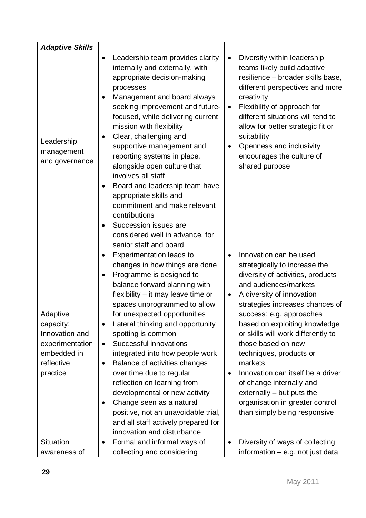| <b>Adaptive Skills</b>                                                                              |                                                                                                                                                                                                                                                                                                                                                                                                                                                                                                                                                                                                                                                                         |                                                                                                                                                                                                                                                                                                                                                                                                                                                                                                                                                                |
|-----------------------------------------------------------------------------------------------------|-------------------------------------------------------------------------------------------------------------------------------------------------------------------------------------------------------------------------------------------------------------------------------------------------------------------------------------------------------------------------------------------------------------------------------------------------------------------------------------------------------------------------------------------------------------------------------------------------------------------------------------------------------------------------|----------------------------------------------------------------------------------------------------------------------------------------------------------------------------------------------------------------------------------------------------------------------------------------------------------------------------------------------------------------------------------------------------------------------------------------------------------------------------------------------------------------------------------------------------------------|
| Leadership,<br>management<br>and governance                                                         | Leadership team provides clarity<br>٠<br>internally and externally, with<br>appropriate decision-making<br>processes<br>Management and board always<br>٠<br>seeking improvement and future-<br>focused, while delivering current<br>mission with flexibility<br>Clear, challenging and<br>٠<br>supportive management and<br>reporting systems in place,<br>alongside open culture that<br>involves all staff<br>Board and leadership team have<br>٠<br>appropriate skills and<br>commitment and make relevant<br>contributions<br>Succession issues are<br>٠<br>considered well in advance, for<br>senior staff and board                                               | Diversity within leadership<br>$\bullet$<br>teams likely build adaptive<br>resilience - broader skills base,<br>different perspectives and more<br>creativity<br>Flexibility of approach for<br>$\bullet$<br>different situations will tend to<br>allow for better strategic fit or<br>suitability<br>Openness and inclusivity<br>$\bullet$<br>encourages the culture of<br>shared purpose                                                                                                                                                                     |
| Adaptive<br>capacity:<br>Innovation and<br>experimentation<br>embedded in<br>reflective<br>practice | Experimentation leads to<br>٠<br>changes in how things are done<br>Programme is designed to<br>٠<br>balance forward planning with<br>flexibility - it may leave time or<br>spaces unprogrammed to allow<br>for unexpected opportunities<br>Lateral thinking and opportunity<br>$\bullet$<br>spotting is common<br>Successful innovations<br>$\bullet$<br>integrated into how people work<br>Balance of activities changes<br>٠<br>over time due to regular<br>reflection on learning from<br>developmental or new activity<br>Change seen as a natural<br>٠<br>positive, not an unavoidable trial,<br>and all staff actively prepared for<br>innovation and disturbance | Innovation can be used<br>$\bullet$<br>strategically to increase the<br>diversity of activities, products<br>and audiences/markets<br>A diversity of innovation<br>$\bullet$<br>strategies increases chances of<br>success: e.g. approaches<br>based on exploiting knowledge<br>or skills will work differently to<br>those based on new<br>techniques, products or<br>markets<br>Innovation can itself be a driver<br>$\bullet$<br>of change internally and<br>externally $-$ but puts the<br>organisation in greater control<br>than simply being responsive |
| <b>Situation</b><br>awareness of                                                                    | Formal and informal ways of<br>$\bullet$<br>collecting and considering                                                                                                                                                                                                                                                                                                                                                                                                                                                                                                                                                                                                  | Diversity of ways of collecting<br>$\bullet$<br>information - e.g. not just data                                                                                                                                                                                                                                                                                                                                                                                                                                                                               |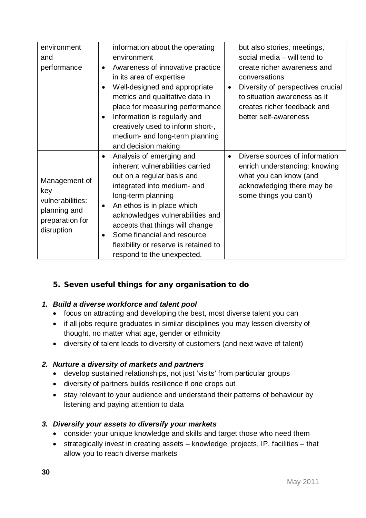| environment<br>and<br>performance                                                         | information about the operating<br>environment<br>Awareness of innovative practice<br>$\bullet$<br>in its area of expertise<br>Well-designed and appropriate<br>metrics and qualitative data in<br>place for measuring performance<br>Information is regularly and<br>$\bullet$<br>creatively used to inform short-,<br>medium- and long-term planning<br>and decision making        | but also stories, meetings,<br>social media - will tend to<br>create richer awareness and<br>conversations<br>Diversity of perspectives crucial<br>$\bullet$<br>to situation awareness as it<br>creates richer feedback and<br>better self-awareness |
|-------------------------------------------------------------------------------------------|--------------------------------------------------------------------------------------------------------------------------------------------------------------------------------------------------------------------------------------------------------------------------------------------------------------------------------------------------------------------------------------|------------------------------------------------------------------------------------------------------------------------------------------------------------------------------------------------------------------------------------------------------|
| Management of<br>key<br>vulnerabilities:<br>planning and<br>preparation for<br>disruption | Analysis of emerging and<br>$\bullet$<br>inherent vulnerabilities carried<br>out on a regular basis and<br>integrated into medium- and<br>long-term planning<br>An ethos is in place which<br>$\bullet$<br>acknowledges vulnerabilities and<br>accepts that things will change<br>Some financial and resource<br>flexibility or reserve is retained to<br>respond to the unexpected. | Diverse sources of information<br>$\bullet$<br>enrich understanding: knowing<br>what you can know (and<br>acknowledging there may be<br>some things you can't)                                                                                       |

# <span id="page-29-0"></span>5. Seven useful things for any organisation to do

#### *1. Build a diverse workforce and talent pool*

- focus on attracting and developing the best, most diverse talent you can
- if all jobs require graduates in similar disciplines you may lessen diversity of thought, no matter what age, gender or ethnicity
- diversity of talent leads to diversity of customers (and next wave of talent)

#### *2. Nurture a diversity of markets and partners*

- develop sustained relationships, not just 'visits' from particular groups
- diversity of partners builds resilience if one drops out
- stay relevant to your audience and understand their patterns of behaviour by listening and paying attention to data

## *3. Diversify your assets to diversify your markets*

- consider your unique knowledge and skills and target those who need them
- strategically invest in creating assets knowledge, projects, IP, facilities that allow you to reach diverse markets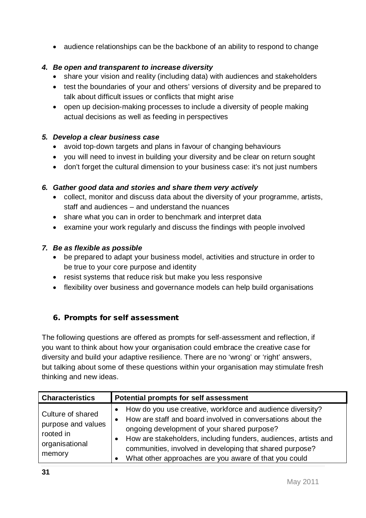• audience relationships can be the backbone of an ability to respond to change

#### *4. Be open and transparent to increase diversity*

- share your vision and reality (including data) with audiences and stakeholders
- test the boundaries of your and others' versions of diversity and be prepared to talk about difficult issues or conflicts that might arise
- open up decision-making processes to include a diversity of people making actual decisions as well as feeding in perspectives

#### *5. Develop a clear business case*

- avoid top-down targets and plans in favour of changing behaviours
- you will need to invest in building your diversity and be clear on return sought
- don't forget the cultural dimension to your business case: it's not just numbers

### *6. Gather good data and stories and share them very actively*

- collect, monitor and discuss data about the diversity of your programme, artists, staff and audiences – and understand the nuances
- share what you can in order to benchmark and interpret data
- examine your work regularly and discuss the findings with people involved

#### *7. Be as flexible as possible*

- be prepared to adapt your business model, activities and structure in order to be true to your core purpose and identity
- resist systems that reduce risk but make you less responsive
- flexibility over business and governance models can help build organisations

## <span id="page-30-0"></span>6. Prompts for self assessment

The following questions are offered as prompts for self-assessment and reflection, if you want to think about how your organisation could embrace the creative case for diversity and build your adaptive resilience. There are no 'wrong' or 'right' answers, but talking about some of these questions within your organisation may stimulate fresh thinking and new ideas.

| <b>Characteristics</b>                                                           | Potential prompts for self assessment                                                                                                                                                                                                                                                                                                                                                                   |  |
|----------------------------------------------------------------------------------|---------------------------------------------------------------------------------------------------------------------------------------------------------------------------------------------------------------------------------------------------------------------------------------------------------------------------------------------------------------------------------------------------------|--|
| Culture of shared<br>purpose and values<br>rooted in<br>organisational<br>memory | How do you use creative, workforce and audience diversity?<br>$\bullet$<br>How are staff and board involved in conversations about the<br>$\bullet$<br>ongoing development of your shared purpose?<br>How are stakeholders, including funders, audiences, artists and<br>$\bullet$<br>communities, involved in developing that shared purpose?<br>What other approaches are you aware of that you could |  |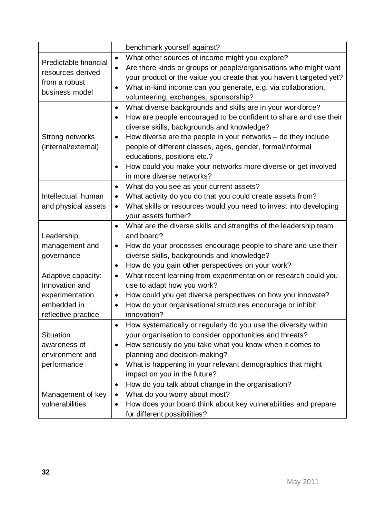|                                                                                               | benchmark yourself against?                                                                                                                                                                                                                                                                                                                                                                                                                                                                    |
|-----------------------------------------------------------------------------------------------|------------------------------------------------------------------------------------------------------------------------------------------------------------------------------------------------------------------------------------------------------------------------------------------------------------------------------------------------------------------------------------------------------------------------------------------------------------------------------------------------|
| Predictable financial<br>resources derived<br>from a robust<br>business model                 | What other sources of income might you explore?<br>$\bullet$<br>Are there kinds or groups or people/organisations who might want<br>$\bullet$<br>your product or the value you create that you haven't targeted yet?<br>What in-kind income can you generate, e.g. via collaboration,<br>$\bullet$<br>volunteering, exchanges, sponsorship?                                                                                                                                                    |
| Strong networks<br>(internal/external)                                                        | What diverse backgrounds and skills are in your workforce?<br>$\bullet$<br>How are people encouraged to be confident to share and use their<br>$\bullet$<br>diverse skills, backgrounds and knowledge?<br>How diverse are the people in your networks $-$ do they include<br>$\bullet$<br>people of different classes, ages, gender, formal/informal<br>educations, positions etc.?<br>How could you make your networks more diverse or get involved<br>$\bullet$<br>in more diverse networks? |
| Intellectual, human<br>and physical assets                                                    | What do you see as your current assets?<br>$\bullet$<br>What activity do you do that you could create assets from?<br>$\bullet$<br>What skills or resources would you need to invest into developing<br>$\bullet$<br>your assets further?                                                                                                                                                                                                                                                      |
| Leadership,<br>management and<br>governance                                                   | What are the diverse skills and strengths of the leadership team<br>$\bullet$<br>and board?<br>How do your processes encourage people to share and use their<br>$\bullet$<br>diverse skills, backgrounds and knowledge?<br>How do you gain other perspectives on your work?<br>$\bullet$                                                                                                                                                                                                       |
| Adaptive capacity:<br>Innovation and<br>experimentation<br>embedded in<br>reflective practice | What recent learning from experimentation or research could you<br>$\bullet$<br>use to adapt how you work?<br>How could you get diverse perspectives on how you innovate?<br>$\bullet$<br>How do your organisational structures encourage or inhibit<br>$\bullet$<br>innovation?                                                                                                                                                                                                               |
| <b>Situation</b><br>awareness of<br>environment and<br>performance                            | How systematically or regularly do you use the diversity within<br>$\bullet$<br>your organisation to consider opportunities and threats?<br>How seriously do you take what you know when it comes to<br>$\bullet$<br>planning and decision-making?<br>What is happening in your relevant demographics that might<br>$\bullet$<br>impact on you in the future?                                                                                                                                  |
| Management of key<br>vulnerabilities                                                          | How do you talk about change in the organisation?<br>$\bullet$<br>What do you worry about most?<br>How does your board think about key vulnerabilities and prepare<br>$\bullet$<br>for different possibilities?                                                                                                                                                                                                                                                                                |